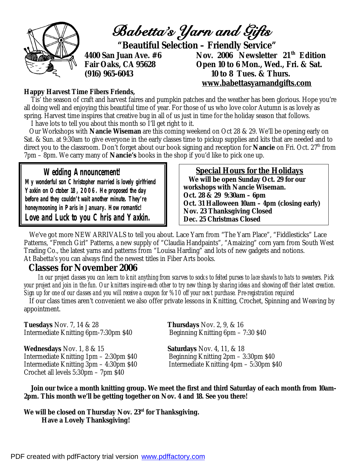

#### **Happy Harvest Time Fibers Friends,**

 Tis' the season of craft and harvest faires and pumpkin patches and the weather has been glorious. Hope you're all doing well and enjoying this beautiful time of year. For those of us who love color Autumn is as lovely as spring. Harvest time inspires that creative bug in all of us just in time for the holiday season that follows. I have lots to tell you about this month so I'll get right to it.

 Our Workshops with *Nancie Wiseman* are this coming weekend on Oct 28 & 29. We'll be opening early on Sat. & Sun. at 9:30am to give everyone in the early classes time to pickup supplies and kits that are needed and to direct you to the classroom. Don't forget about our book signing and reception for *Nancie* on Fri. Oct. 27th from 7pm – 8pm. We carry many of *Nancie's* books in the shop if you'd like to pick one up.

## **Wedding Announcement!**

**My wonderful son Christopher married is lovely girlfriend Yaxkin on October 18, 2006. He proposed the day before and they couldn't wait another minute. They're honeymooning in Paris in January. How romantic! Love and Luck to you Chris and Yaxkin.** 

## **Special Hours for the Holidays**

 **We will be open Sunday Oct. 29 for our workshops with Nancie Wiseman. Oct. 28 & 29 9:30am – 6pm Oct. 31 Halloween 10am – 4pm (closing early) Nov. 23 Thanksgiving Closed Dec. 25 Christmas Closed**

 We've got more NEW ARRIVALS to tell you about. Lace Yarn from "The Yarn Place", "Fiddlesticks" Lace Patterns, "French Girl" Patterns, a new supply of "Claudia Handpaints", "Amaizing" corn yarn from South West Trading Co., the latest yarns and patterns from "Louisa Harding" and lots of new gadgets and notions. At Babetta's you can always find the newest titles in Fiber Arts books.

## **Classes for November 2006**

 *In our project classes you can learn to knit anything from scarves to socks to felted purses to lace shawls to hats to sweaters. Pick your project and join in the fun. Our knitters inspire each other to try new things by sharing ideas and showing off their latest creation. Sign up for one of our classes and you will receive a coupon for %10 off your next purchase. Pre-registration required* 

 If our class times aren't convenient we also offer private lessons in Knitting, Crochet, Spinning and Weaving by appointment.

**Tuesdays** Nov. 7, 14 & 28 **Thursdays** Nov. 2, 9, & 16 Intermediate Knitting 6pm-7:30pm \$40 Beginning Knitting 6pm – 7:30 \$40

**Wednesdays** Nov. 1, 8 & 15 **Saturdays** Nov. 4, 11, & 18 Intermediate Knitting 1pm – 2:30pm \$40 Beginning Knitting 2pm – 3:30pm \$40 Intermediate Knitting 3pm – 4:30pm \$40 Intermediate Knitting 4pm – 5:30pm \$40 Crochet all levels 5:30pm – 7pm \$40

 *Join our twice a month knitting group. We meet the first and third Saturday of each month from 10am-2pm. This month we'll be getting together on Nov. 4 and 18. See you there!* 

*We will be closed on Thursday Nov. 23rd for Thanksgiving. Have a Lovely Thanksgiving!*